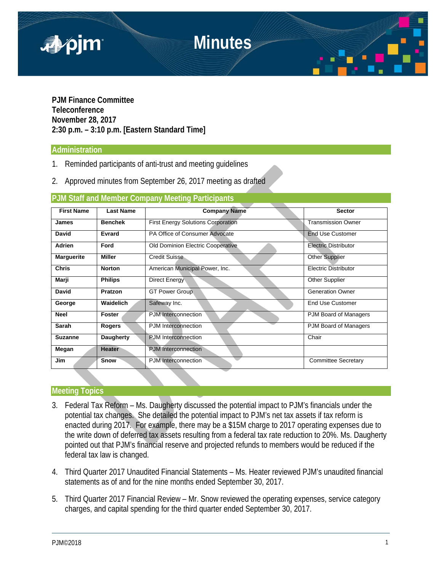

**PJM Finance Committee Teleconference November 28, 2017 2:30 p.m. – 3:10 p.m. [Eastern Standard Time]**

### **Administration**

- 1. Reminded participants of anti-trust and meeting guidelines
- 2. Approved minutes from September 26, 2017 meeting as drafted

## **PJM Staff and Member Company Meeting Participants**

| <b>First Name</b> | <b>Last Name</b> | <b>Company Name</b>                       | <b>Sector</b>               |
|-------------------|------------------|-------------------------------------------|-----------------------------|
| <b>James</b>      | <b>Benchek</b>   | <b>First Energy Solutions Corporation</b> | <b>Transmission Owner</b>   |
| David             | Evrard           | PA Office of Consumer Advocate            | <b>End Use Customer</b>     |
| <b>Adrien</b>     | Ford             | <b>Old Dominion Electric Cooperative</b>  | Electric Distributor        |
| <b>Marguerite</b> | <b>Miller</b>    | Credit Suisse                             | <b>Other Supplier</b>       |
| <b>Chris</b>      | <b>Norton</b>    | American Municipal Power, Inc.            | <b>Electric Distributor</b> |
| Marji             | <b>Philips</b>   | Direct Energy                             | Other Supplier              |
| David             | Pratzon          | <b>GT Power Group</b>                     | <b>Generation Owner</b>     |
| George            | Waidelich        | Safeway Inc.                              | <b>End Use Customer</b>     |
| <b>Neel</b>       | <b>Foster</b>    | PJM Interconnection                       | PJM Board of Managers       |
| Sarah             | Rogers           | <b>PJM</b> Interconnection                | PJM Board of Managers       |
| <b>Suzanne</b>    | <b>Daugherty</b> | <b>PJM</b> Interconnection                | Chair                       |
| Megan             | <b>Heater</b>    | <b>PJM</b> Interconnection                |                             |
| <b>Jim</b>        | Snow             | PJM Interconnection                       | Committee Secretary         |

## **Meeting Topics**

- 3. Federal Tax Reform Ms. Daugherty discussed the potential impact to PJM's financials under the potential tax changes. She detailed the potential impact to PJM's net tax assets if tax reform is enacted during 2017. For example, there may be a \$15M charge to 2017 operating expenses due to the write down of deferred tax assets resulting from a federal tax rate reduction to 20%. Ms. Daugherty pointed out that PJM's financial reserve and projected refunds to members would be reduced if the federal tax law is changed.
- 4. Third Quarter 2017 Unaudited Financial Statements Ms. Heater reviewed PJM's unaudited financial statements as of and for the nine months ended September 30, 2017.
- 5. Third Quarter 2017 Financial Review Mr. Snow reviewed the operating expenses, service category charges, and capital spending for the third quarter ended September 30, 2017.